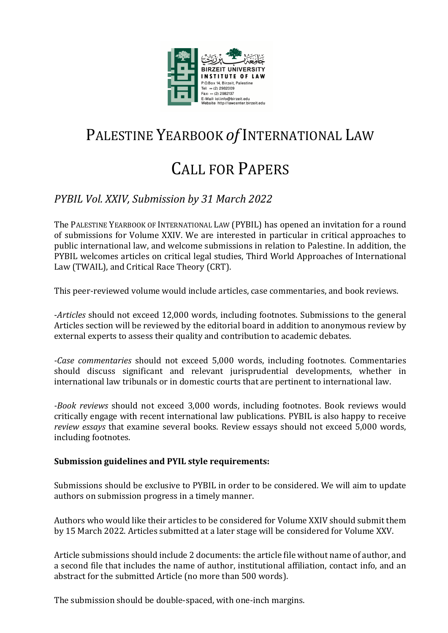

## PALESTINE YEARBOOK *of* INTERNATIONAL LAW

# CALL FOR PAPERS

### *PYBIL Vol. XXIV, Submission by 31 March 2022*

The PALESTINE YEARBOOK OF INTERNATIONAL LAW (PYBIL) has opened an invitation for a round of submissions for Volume XXIV. We are interested in particular in critical approaches to public international law, and welcome submissions in relation to Palestine. In addition, the PYBIL welcomes articles on critical legal studies, Third World Approaches of International Law (TWAIL), and Critical Race Theory (CRT).

This peer-reviewed volume would include articles, case commentaries, and book reviews.

-*Articles* should not exceed 12,000 words, including footnotes. Submissions to the general Articles section will be reviewed by the editorial board in addition to anonymous review by external experts to assess their quality and contribution to academic debates.

*-Case commentaries* should not exceed 5,000 words, including footnotes. Commentaries should discuss significant and relevant jurisprudential developments, whether in international law tribunals or in domestic courts that are pertinent to international law.

*-Book reviews* should not exceed 3,000 words, including footnotes. Book reviews would critically engage with recent international law publications. PYBIL is also happy to receive *review essays* that examine several books. Review essays should not exceed 5,000 words, including footnotes.

#### Submission guidelines and PYIL style requirements:

Submissions should be exclusive to PYBIL in order to be considered. We will aim to update authors on submission progress in a timely manner.

Authors who would like their articles to be considered for Volume XXIV should submit them by 15 March 2022. Articles submitted at a later stage will be considered for Volume XXV.

Article submissions should include 2 documents: the article file without name of author, and a second file that includes the name of author, institutional affiliation, contact info, and an abstract for the submitted Article (no more than 500 words).

The submission should be double-spaced, with one-inch margins.